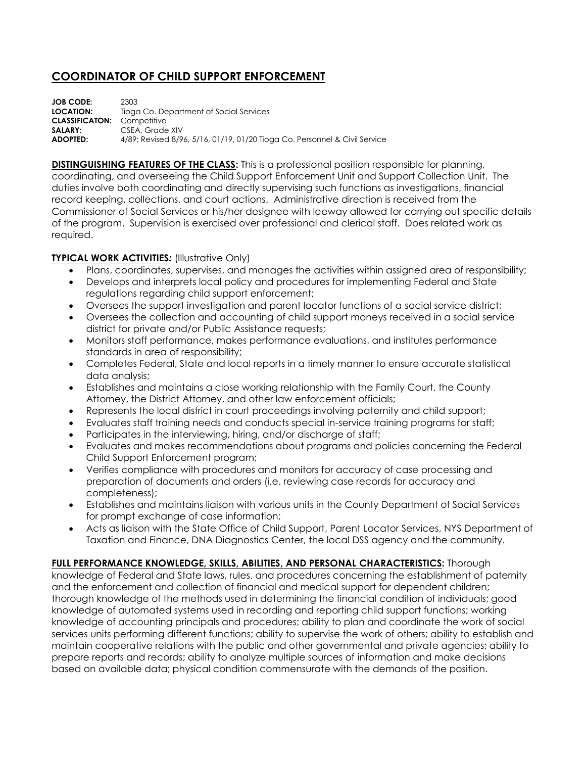## **COORDINATOR OF CHILD SUPPORT ENFORCEMENT**

**JOB CODE:** 2303 **LOCATION:** Tioga Co. Department of Social Services **CLASSIFICATON:** Competitive **SALARY:** CSEA, Grade XIV **ADOPTED:** 4/89; Revised 8/96, 5/16, 01/19, 01/20 Tioga Co. Personnel & Civil Service

**DISTINGUISHING FEATURES OF THE CLASS:** This is a professional position responsible for planning, coordinating, and overseeing the Child Support Enforcement Unit and Support Collection Unit. The duties involve both coordinating and directly supervising such functions as investigations, financial record keeping, collections, and court actions. Administrative direction is received from the Commissioner of Social Services or his/her designee with leeway allowed for carrying out specific details of the program. Supervision is exercised over professional and clerical staff. Does related work as required.

## **TYPICAL WORK ACTIVITIES***:* (Illustrative Only)

- Plans, coordinates, supervises, and manages the activities within assigned area of responsibility;
- Develops and interprets local policy and procedures for implementing Federal and State regulations regarding child support enforcement;
- Oversees the support investigation and parent locator functions of a social service district;
- Oversees the collection and accounting of child support moneys received in a social service district for private and/or Public Assistance requests;
- Monitors staff performance, makes performance evaluations, and institutes performance standards in area of responsibility;
- Completes Federal, State and local reports in a timely manner to ensure accurate statistical data analysis;
- Establishes and maintains a close working relationship with the Family Court, the County Attorney, the District Attorney, and other law enforcement officials;
- Represents the local district in court proceedings involving paternity and child support;
- Evaluates staff training needs and conducts special in-service training programs for staff;
- Participates in the interviewing, hiring, and/or discharge of staff;
- Evaluates and makes recommendations about programs and policies concerning the Federal Child Support Enforcement program;
- Verifies compliance with procedures and monitors for accuracy of case processing and preparation of documents and orders (i.e. reviewing case records for accuracy and completeness);
- Establishes and maintains liaison with various units in the County Department of Social Services for prompt exchange of case information;
- Acts as liaison with the State Office of Child Support, Parent Locator Services, NYS Department of Taxation and Finance, DNA Diagnostics Center, the local DSS agency and the community.

## **FULL PERFORMANCE KNOWLEDGE, SKILLS, ABILITIES, AND PERSONAL CHARACTERISTICS:** Thorough

knowledge of Federal and State laws, rules, and procedures concerning the establishment of paternity and the enforcement and collection of financial and medical support for dependent children; thorough knowledge of the methods used in determining the financial condition of individuals; good knowledge of automated systems used in recording and reporting child support functions; working knowledge of accounting principals and procedures; ability to plan and coordinate the work of social services units performing different functions; ability to supervise the work of others; ability to establish and maintain cooperative relations with the public and other governmental and private agencies; ability to prepare reports and records; ability to analyze multiple sources of information and make decisions based on available data; physical condition commensurate with the demands of the position.